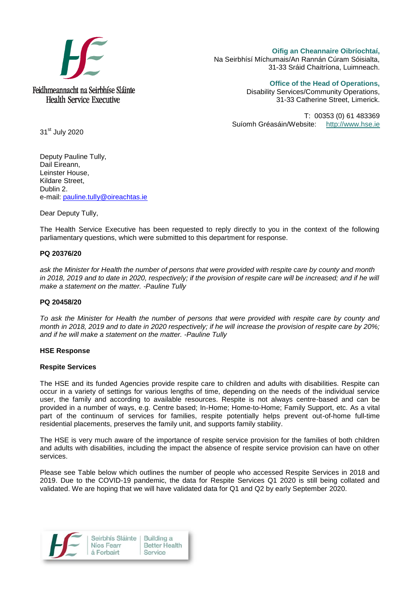

**Oifig an Cheannaire Oibríochtaí,**  Na Seirbhísí Míchumais/An Rannán Cúram Sóisialta, 31-33 Sráid Chaitríona, Luimneach.

**Office of the Head of Operations,**

Disability Services/Community Operations, 31-33 Catherine Street, Limerick.

T: 00353 (0) 61 483369 Suíomh Gréasáin/Website: [http://www.hse.ie](http://www.hse.ie/)

31<sup>st</sup> July 2020

Deputy Pauline Tully, Dail Eireann, Leinster House, Kildare Street, Dublin 2. e-mail: [pauline.tully@oireachtas.ie](mailto:pauline.tully@oireachtas.ie)

Dear Deputy Tully,

The Health Service Executive has been requested to reply directly to you in the context of the following parliamentary questions, which were submitted to this department for response.

### **PQ 20376/20**

*ask the Minister for Health the number of persons that were provided with respite care by county and month in 2018, 2019 and to date in 2020, respectively; if the provision of respite care will be increased; and if he will make a statement on the matter. -Pauline Tully*

### **PQ 20458/20**

*To ask the Minister for Health the number of persons that were provided with respite care by county and month in 2018, 2019 and to date in 2020 respectively; if he will increase the provision of respite care by 20%; and if he will make a statement on the matter. -Pauline Tully*

#### **HSE Response**

#### **Respite Services**

The HSE and its funded Agencies provide respite care to children and adults with disabilities. Respite can occur in a variety of settings for various lengths of time, depending on the needs of the individual service user, the family and according to available resources. Respite is not always centre-based and can be provided in a number of ways, e.g. Centre based; In-Home; Home-to-Home; Family Support, etc. As a vital part of the continuum of services for families, respite potentially helps prevent out-of-home full-time residential placements, preserves the family unit, and supports family stability.

The HSE is very much aware of the importance of respite service provision for the families of both children and adults with disabilities, including the impact the absence of respite service provision can have on other services.

Please see Table below which outlines the number of people who accessed Respite Services in 2018 and 2019. Due to the COVID-19 pandemic, the data for Respite Services Q1 2020 is still being collated and validated. We are hoping that we will have validated data for Q1 and Q2 by early September 2020.

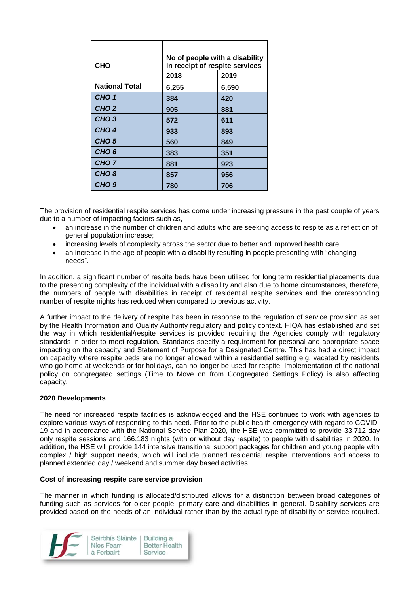| <b>CHO</b>            | No of people with a disability<br>in receipt of respite services |               |
|-----------------------|------------------------------------------------------------------|---------------|
| <b>National Total</b> | 2018<br>6,255                                                    | 2019<br>6,590 |
| CHO <sub>1</sub>      | 384                                                              | 420           |
| CHO <sub>2</sub>      | 905                                                              | 881           |
| CHO <sub>3</sub>      | 572                                                              | 611           |
| CHO <sub>4</sub>      | 933                                                              | 893           |
| CHO <sub>5</sub>      | 560                                                              | 849           |
| CHO <sub>6</sub>      | 383                                                              | 351           |
| CHO <sub>7</sub>      | 881                                                              | 923           |
| CHO <sub>8</sub>      | 857                                                              | 956           |
| CHO <sub>9</sub>      | 780                                                              | 706           |

The provision of residential respite services has come under increasing pressure in the past couple of years due to a number of impacting factors such as,

- an increase in the number of children and adults who are seeking access to respite as a reflection of general population increase;
- increasing levels of complexity across the sector due to better and improved health care;
- an increase in the age of people with a disability resulting in people presenting with "changing needs".

In addition, a significant number of respite beds have been utilised for long term residential placements due to the presenting complexity of the individual with a disability and also due to home circumstances, therefore, the numbers of people with disabilities in receipt of residential respite services and the corresponding number of respite nights has reduced when compared to previous activity.

A further impact to the delivery of respite has been in response to the regulation of service provision as set by the Health Information and Quality Authority regulatory and policy context. HIQA has established and set the way in which residential/respite services is provided requiring the Agencies comply with regulatory standards in order to meet regulation. Standards specify a requirement for personal and appropriate space impacting on the capacity and Statement of Purpose for a Designated Centre. This has had a direct impact on capacity where respite beds are no longer allowed within a residential setting e.g. vacated by residents who go home at weekends or for holidays, can no longer be used for respite. Implementation of the national policy on congregated settings (Time to Move on from Congregated Settings Policy) is also affecting capacity.

### **2020 Developments**

The need for increased respite facilities is acknowledged and the HSE continues to work with agencies to explore various ways of responding to this need. Prior to the public health emergency with regard to COVID-19 and in accordance with the National Service Plan 2020, the HSE was committed to provide 33,712 day only respite sessions and 166,183 nights (with or without day respite) to people with disabilities in 2020. In addition, the HSE will provide 144 intensive transitional support packages for children and young people with complex / high support needs, which will include planned residential respite interventions and access to planned extended day / weekend and summer day based activities.

### **Cost of increasing respite care service provision**

The manner in which funding is allocated/distributed allows for a distinction between broad categories of funding such as services for older people, primary care and disabilities in general. Disability services are provided based on the needs of an individual rather than by the actual type of disability or service required.

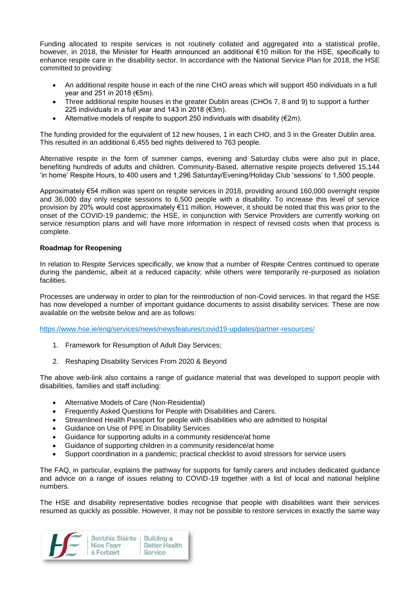Funding allocated to respite services is not routinely collated and aggregated into a statistical profile, however, in 2018, the Minister for Health announced an additional €10 million for the HSE, specifically to enhance respite care in the disability sector. In accordance with the National Service Plan for 2018, the HSE committed to providing:

- An additional respite house in each of the nine CHO areas which will support 450 individuals in a full year and 251 in 2018 (€5m).
- Three additional respite houses in the greater Dublin areas (CHOs 7, 8 and 9) to support a further 225 individuals in a full year and 143 in 2018 (€3m).
- Alternative models of respite to support 250 individuals with disability  $(\epsilon 2m)$ .

The funding provided for the equivalent of 12 new houses, 1 in each CHO, and 3 in the Greater Dublin area. This resulted in an additional 6,455 bed nights delivered to 763 people.

Alternative respite in the form of summer camps, evening and Saturday clubs were also put in place, benefiting hundreds of adults and children. Community-Based, alternative respite projects delivered 15,144 'in home' Respite Hours, to 400 users and 1,296 Saturday/Evening/Holiday Club 'sessions' to 1,500 people.

Approximately €54 million was spent on respite services in 2018, providing around 160,000 overnight respite and 36,000 day only respite sessions to 6,500 people with a disability. To increase this level of service provision by 20% would cost approximately €11 million. However, it should be noted that this was prior to the onset of the COVID-19 pandemic; the HSE, in conjunction with Service Providers are currently working on service resumption plans and will have more information in respect of revised costs when that process is complete.

# **Roadmap for Reopening**

In relation to Respite Services specifically, we know that a number of Respite Centres continued to operate during the pandemic, albeit at a reduced capacity; while others were temporarily re-purposed as isolation facilities.

Processes are underway in order to plan for the reintroduction of non-Covid services. In that regard the HSE has now developed a number of important guidance documents to assist disability services. These are now available on the website below and are as follows:

<https://www.hse.ie/eng/services/news/newsfeatures/covid19-updates/partner-resources/>

- 1. Framework for Resumption of Adult Day Services;
- 2. Reshaping Disability Services From 2020 & Beyond

The above web-link also contains a range of guidance material that was developed to support people with disabilities, families and staff including:

- Alternative Models of Care (Non-Residential)
- Frequently Asked Questions for People with Disabilities and Carers.
- Streamlined Health Passport for people with disabilities who are admitted to hospital
- Guidance on Use of PPE in Disability Services
- Guidance for supporting adults in a community residence/at home
- Guidance of supporting children in a community residence/at home
- Support coordination in a pandemic; practical checklist to avoid stressors for service users

The FAQ, in particular, explains the pathway for supports for family carers and includes dedicated guidance and advice on a range of issues relating to COVID-19 together with a list of local and national helpline numbers.

The HSE and disability representative bodies recognise that people with disabilities want their services resumed as quickly as possible. However, it may not be possible to restore services in exactly the same way